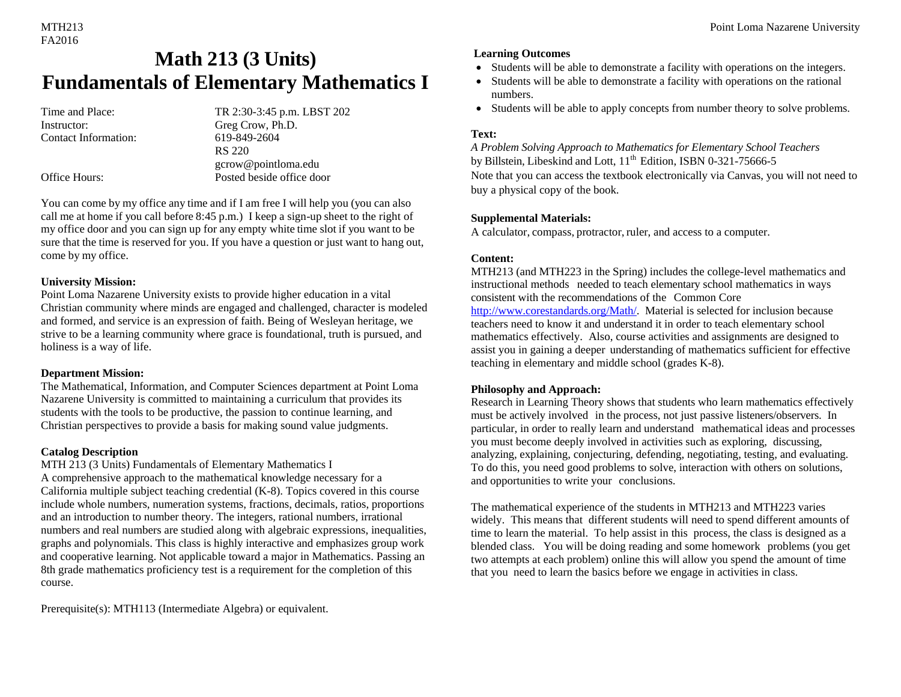# FA2016

## **Math 213 (3 Units) Fundamentals of Elementary Mathematics I**

Instructor: Greg Crow, Ph.D. Contact Information: 619-849-2604

Time and Place: TR 2:30-3:45 p.m. LBST 202 RS 220 gcrow@pointloma.edu Office Hours: Posted beside office door

You can come by my office any time and if I am free I will help you (you can also call me at home if you call before 8:45 p.m.) I keep a sign-up sheet to the right of my office door and you can sign up for any empty white time slot if you want to be sure that the time is reserved for you. If you have a question or just want to hang out, come by my office.

#### **University Mission:**

Point Loma Nazarene University exists to provide higher education in a vital Christian community where minds are engaged and challenged, character is modeled and formed, and service is an expression of faith. Being of Wesleyan heritage, we strive to be a learning community where grace is foundational, truth is pursued, and holiness is a way of life.

#### **Department Mission:**

The Mathematical, Information, and Computer Sciences department at Point Loma Nazarene University is committed to maintaining a curriculum that provides its students with the tools to be productive, the passion to continue learning, and Christian perspectives to provide a basis for making sound value judgments.

#### **Catalog Description**

#### MTH 213 (3 Units) Fundamentals of Elementary Mathematics I

A comprehensive approach to the mathematical knowledge necessary for a California multiple subject teaching credential (K-8). Topics covered in this course include whole numbers, numeration systems, fractions, decimals, ratios, proportions and an introduction to number theory. The integers, rational numbers, irrational numbers and real numbers are studied along with algebraic expressions, inequalities, graphs and polynomials. This class is highly interactive and emphasizes group work and cooperative learning. Not applicable toward a major in Mathematics. Passing an 8th grade mathematics proficiency test is a requirement for the completion of this course.

Prerequisite(s): MTH113 (Intermediate Algebra) or equivalent.

#### **Learning Outcomes**

- Students will be able to demonstrate a facility with operations on the integers.
- Students will be able to demonstrate a facility with operations on the rational numbers.
- Students will be able to apply concepts from number theory to solve problems.

#### **Text:**

*A Problem Solving Approach to Mathematics for Elementary School Teachers*  by Billstein, Libeskind and Lott,  $11<sup>th</sup>$  Edition, ISBN 0-321-75666-5 Note that you can access the textbook electronically via Canvas, you will not need to buy a physical copy of the book.

#### **Supplemental Materials:**

A calculator, compass, protractor, ruler, and access to a computer.

#### **Content:**

MTH213 (and MTH223 in the Spring) includes the college-level mathematics and instructional methods needed to teach elementary school mathematics in ways consistent with the recommendations of the Common Core http://www.corestandards.org/Math/. Material is selected for inclusion because teachers need to know it and understand it in order to teach elementary school mathematics effectively. Also, course activities and assignments are designed to assist you in gaining a deeper understanding of mathematics sufficient for effective teaching in elementary and middle school (grades K-8).

#### **Philosophy and Approach:**

Research in Learning Theory shows that students who learn mathematics effectively must be actively involved in the process, not just passive listeners/observers. In particular, in order to really learn and understand mathematical ideas and processes you must become deeply involved in activities such as exploring, discussing, analyzing, explaining, conjecturing, defending, negotiating, testing, and evaluating. To do this, you need good problems to solve, interaction with others on solutions, and opportunities to write your conclusions.

#### The mathematical experience of the students in MTH213 and MTH223 varies

widely. This means that different students will need to spend different amounts of time to learn the material. To help assist in this process, the class is designed as a blended class. You will be doing reading and some homework problems (you get two attempts at each problem) online this will allow you spend the amount of time that you need to learn the basics before we engage in activities in class.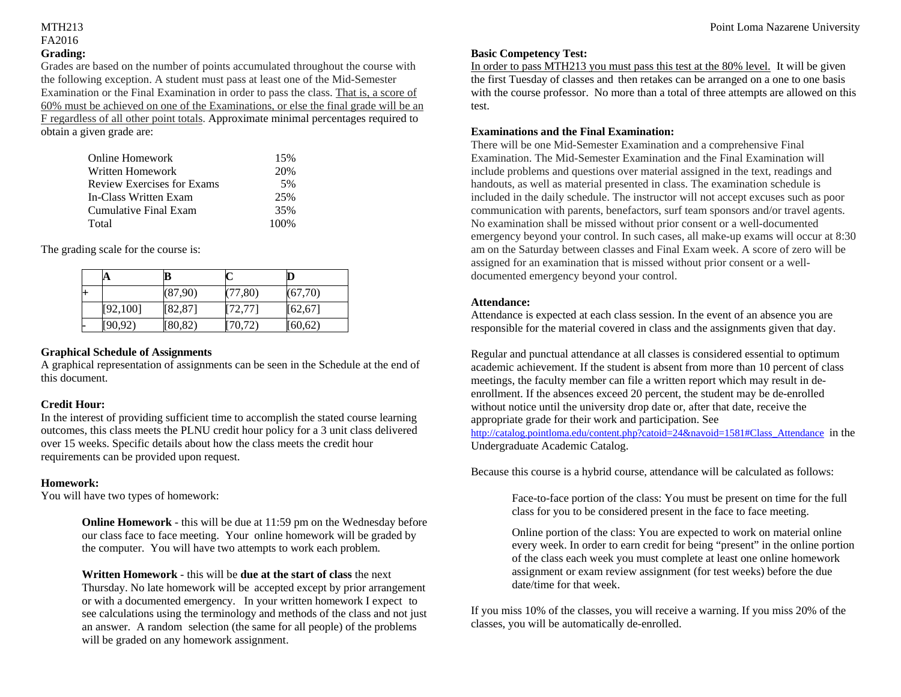## FA2016 **Grading:**

Grades are based on the number of points accumulated throughout the course with the following exception. A student must pass at least one of the Mid-Semester Examination or the Final Examination in order to pass the class. That is, a score of 60% must be achieved on one of the Examinations, or else the final grade will be an F regardless of all other point totals. Approximate minimal percentages required to obtain a given grade are:

| Online Homework                   | 15%   |
|-----------------------------------|-------|
| Written Homework                  | 20%   |
| <b>Review Exercises for Exams</b> | .5%   |
| In-Class Written Exam             | 25%   |
| Cumulative Final Exam             | 35%   |
| Total                             | 100\% |

The grading scale for the course is:

|      | A         | в        |          | D        |
|------|-----------|----------|----------|----------|
| $^+$ |           | (87,90)  | (77, 80) | (67,70)  |
|      | [92, 100] | [82, 87] | [72, 77] | [62, 67] |
|      | [90, 92)  | [80, 82) | [70, 72) | [60, 62) |

#### **Graphical Schedule of Assignments**

A graphical representation of assignments can be seen in the Schedule at the end of this document.

#### **Credit Hour:**

In the interest of providing sufficient time to accomplish the stated course learning outcomes, this class meets the PLNU credit hour policy for a 3 unit class delivered over 15 weeks. Specific details about how the class meets the credit hour requirements can be provided upon request.

#### **Homework:**

You will have two types of homework:

**Online Homework** - this will be due at 11:59 pm on the Wednesday before our class face to face meeting. Your online homework will be graded by the computer. You will have two attempts to work each problem.

**Written Homework** - this will be **due at the start of class** the next Thursday. No late homework will be accepted except by prior arrangement or with a documented emergency. In your written homework I expect to see calculations using the terminology and methods of the class and not just an answer. A random selection (the same for all people) of the problems will be graded on any homework assignment.

#### **Basic Competency Test:**

In order to pass MTH213 you must pass this test at the 80% level. It will be given the first Tuesday of classes and then retakes can be arranged on a one to one basis with the course professor. No more than a total of three attempts are allowed on this test.

#### **Examinations and the Final Examination:**

There will be one Mid-Semester Examination and a comprehensive Final Examination. The Mid-Semester Examination and the Final Examination will include problems and questions over material assigned in the text, readings and handouts, as well as material presented in class. The examination schedule is included in the daily schedule. The instructor will not accept excuses such as poor communication with parents, benefactors, surf team sponsors and/or travel agents. No examination shall be missed without prior consent or a well-documented emergency beyond your control. In such cases, all make-up exams will occur at 8:30 am on the Saturday between classes and Final Exam week. A score of zero will be assigned for an examination that is missed without prior consent or a welldocumented emergency beyond your control.

#### **Attendance:**

Attendance is expected at each class session. In the event of an absence you are responsible for the material covered in class and the assignments given that day.

Regular and punctual attendance at all classes is considered essential to optimum academic achievement. If the student is absent from more than 10 percent of class meetings, the faculty member can file a written report which may result in deenrollment. If the absences exceed 20 percent, the student may be de-enrolled without notice until the university drop date or, after that date, receive the appropriate grade for their work and participation. See

http://catalog.pointloma.edu/content.php?catoid=24&navoid=1581#Class\_Attendance in the Undergraduate Academic Catalog.

Because this course is a hybrid course, attendance will be calculated as follows:

Face-to-face portion of the class: You must be present on time for the full class for you to be considered present in the face to face meeting.

Online portion of the class: You are expected to work on material online every week. In order to earn credit for being "present" in the online portion of the class each week you must complete at least one online homework assignment or exam review assignment (for test weeks) before the due date/time for that week.

If you miss 10% of the classes, you will receive a warning. If you miss 20% of the classes, you will be automatically de-enrolled.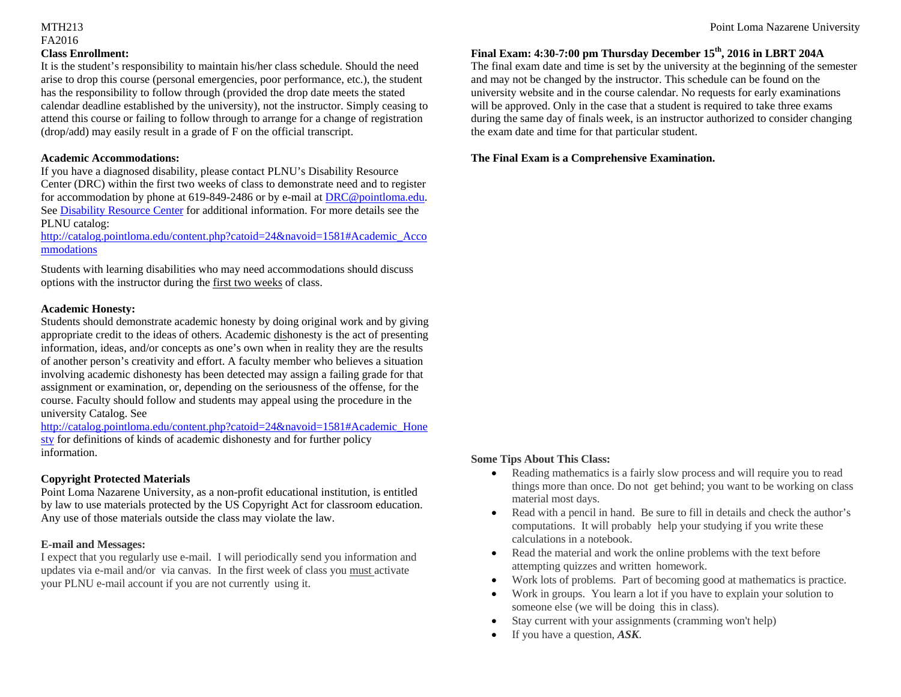## FA2016 **Class Enrollment:**

It is the student's responsibility to maintain his/her class schedule. Should the need arise to drop this course (personal emergencies, poor performance, etc.), the student has the responsibility to follow through (provided the drop date meets the stated calendar deadline established by the university), not the instructor. Simply ceasing to attend this course or failing to follow through to arrange for a change of registration (drop/add) may easily result in a grade of F on the official transcript.

#### **Academic Accommodations:**

If you have a diagnosed disability, please contact PLNU's Disability Resource Center (DRC) within the first two weeks of class to demonstrate need and to register for accommodation by phone at 619-849-2486 or by e-mail at DRC@pointloma.edu. See Disability Resource Center for additional information. For more details see the PLNU catalog:

http://catalog.pointloma.edu/content.php?catoid=24&navoid=1581#Academic\_Acco mmodations

Students with learning disabilities who may need accommodations should discuss options with the instructor during the first two weeks of class.

#### **Academic Honesty:**

Students should demonstrate academic honesty by doing original work and by giving appropriate credit to the ideas of others. Academic dishonesty is the act of presenting information, ideas, and/or concepts as one's own when in reality they are the results of another person's creativity and effort. A faculty member who believes a situation involving academic dishonesty has been detected may assign a failing grade for that assignment or examination, or, depending on the seriousness of the offense, for the course. Faculty should follow and students may appeal using the procedure in the university Catalog. See

http://catalog.pointloma.edu/content.php?catoid=24&navoid=1581#Academic\_Hone sty for definitions of kinds of academic dishonesty and for further policy information.

#### **Copyright Protected Materials**

Point Loma Nazarene University, as a non-profit educational institution, is entitled by law to use materials protected by the US Copyright Act for classroom education. Any use of those materials outside the class may violate the law.

#### **E-mail and Messages:**

I expect that you regularly use e-mail. I will periodically send you information and updates via e-mail and/or via canvas. In the first week of class you must activate your PLNU e-mail account if you are not currently using it.

#### **Final Exam: 4:30-7:00 pm Thursday December 15th, 2016 in LBRT 204A**

The final exam date and time is set by the university at the beginning of the semester and may not be changed by the instructor. This schedule can be found on the university website and in the course calendar. No requests for early examinations will be approved. Only in the case that a student is required to take three exams during the same day of finals week, is an instructor authorized to consider changing the exam date and time for that particular student.

#### **The Final Exam is a Comprehensive Examination.**

#### **Some Tips About This Class:**

- $\bullet$  Reading mathematics is a fairly slow process and will require you to read things more than once. Do not get behind; you want to be working on class material most days.
- c Read with a pencil in hand. Be sure to fill in details and check the author's computations. It will probably help your studying if you write these calculations in a notebook.
- $\bullet$  Read the material and work the online problems with the text before attempting quizzes and written homework.
- $\bullet$ Work lots of problems. Part of becoming good at mathematics is practice.
- e Work in groups. You learn a lot if you have to explain your solution to someone else (we will be doing this in class).
- 0 Stay current with your assignments (cramming won't help)
- c If you have a question, *ASK*.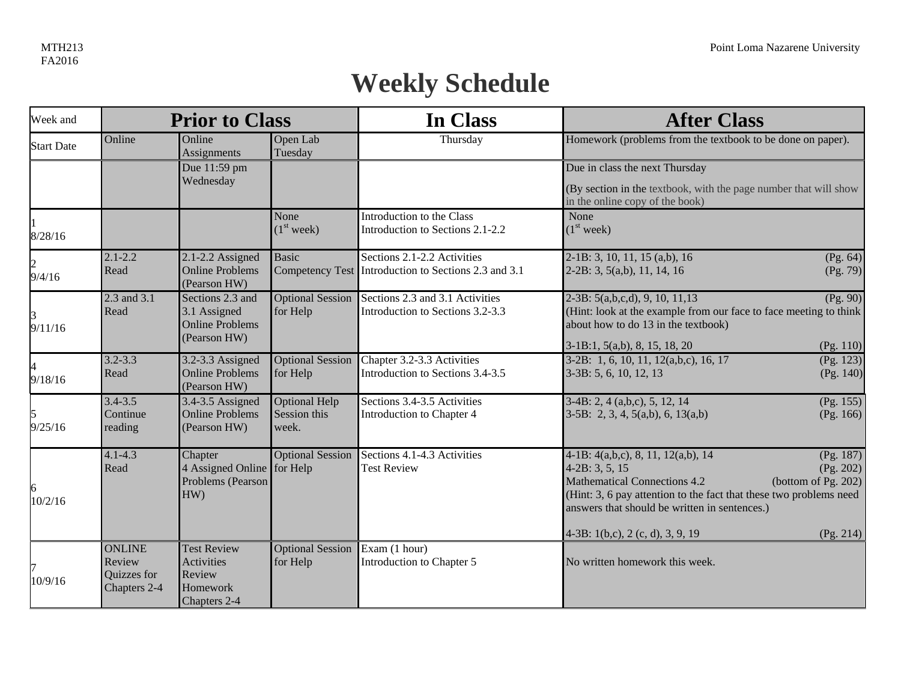# **Weekly Schedule**

| Week and                 |                                                        | <b>Prior to Class</b>                                                  |                                        | In Class                                                                            | <b>After Class</b>                                                                                                                                                                                                                                                                                                            |  |
|--------------------------|--------------------------------------------------------|------------------------------------------------------------------------|----------------------------------------|-------------------------------------------------------------------------------------|-------------------------------------------------------------------------------------------------------------------------------------------------------------------------------------------------------------------------------------------------------------------------------------------------------------------------------|--|
| <b>Start Date</b>        | Online                                                 | Online<br>Assignments                                                  | Open Lab<br>Tuesday                    | Thursday                                                                            | Homework (problems from the textbook to be done on paper).                                                                                                                                                                                                                                                                    |  |
|                          |                                                        | Due 11:59 pm                                                           |                                        |                                                                                     | Due in class the next Thursday                                                                                                                                                                                                                                                                                                |  |
|                          |                                                        | Wednesday                                                              |                                        |                                                                                     | (By section in the textbook, with the page number that will show<br>in the online copy of the book)                                                                                                                                                                                                                           |  |
| 8/28/16                  |                                                        |                                                                        | None<br>(1 <sup>st</sup> week)         | Introduction to the Class<br>Introduction to Sections 2.1-2.2                       | None<br>(1 <sup>st</sup> week)                                                                                                                                                                                                                                                                                                |  |
| $\overline{c}$<br>9/4/16 | $2.1 - 2.2$<br>Read                                    | $2.1 - 2.2$ Assigned<br><b>Online Problems</b><br>(Pearson HW)         | <b>Basic</b>                           | Sections 2.1-2.2 Activities<br>Competency Test Introduction to Sections 2.3 and 3.1 | $2-1B: 3, 10, 11, 15 (a,b), 16$<br>(Pg. 64)<br>(Pg. 79)<br>$2-2B: 3, 5(a,b), 11, 14, 16$                                                                                                                                                                                                                                      |  |
| 9/11/16                  | 2.3 and 3.1<br>Read                                    | Sections 2.3 and<br>3.1 Assigned<br>Online Problems<br>(Pearson HW)    | <b>Optional Session</b><br>for Help    | Sections 2.3 and 3.1 Activities<br>Introduction to Sections 3.2-3.3                 | (Pg. 90)<br>$2-3B: 5(a,b,c,d), 9, 10, 11, 13$<br>(Hint: look at the example from our face to face meeting to think<br>about how to do 13 in the textbook)                                                                                                                                                                     |  |
|                          |                                                        |                                                                        |                                        |                                                                                     | $3-1B:1, 5(a,b), 8, 15, 18, 20$<br>(Pg. 110)                                                                                                                                                                                                                                                                                  |  |
| 9/18/16                  | $3.2 - 3.3$<br>Read                                    | 3.2-3.3 Assigned<br><b>Online Problems</b><br>(Pearson HW)             | <b>Optional Session</b><br>for Help    | Chapter 3.2-3.3 Activities<br>Introduction to Sections 3.4-3.5                      | 3-2B: 1, 6, 10, 11, 12(a,b,c), 16, 17<br>(Pg. 123)<br>(Pg. 140)<br>$3-3B: 5, 6, 10, 12, 13$                                                                                                                                                                                                                                   |  |
| 9/25/16                  | $3.4 - 3.5$<br>Continue<br>reading                     | $3.4 - 3.5$ Assigned<br><b>Online Problems</b><br>(Pearson HW)         | Optional Help<br>Session this<br>week. | Sections 3.4-3.5 Activities<br>Introduction to Chapter 4                            | (Pg. 155)<br>$3-4B: 2, 4(a,b,c), 5, 12, 14$<br>$3-5B$ : 2, 3, 4, 5(a,b), 6, 13(a,b)<br>(Pg. 166)                                                                                                                                                                                                                              |  |
| 6<br>10/2/16             | $4.1 - 4.3$<br>Read                                    | Chapter<br>4 Assigned Online<br>Problems (Pearson<br>HW)               | <b>Optional Session</b><br>for Help    | Sections 4.1-4.3 Activities<br><b>Test Review</b>                                   | (Pg. 187)<br>4-1B: 4(a,b,c), 8, 11, 12(a,b), 14<br>$4-2B: 3, 5, 15$<br>(Pg. 202)<br><b>Mathematical Connections 4.2</b><br>(bottom of Pg. 202)<br>(Hint: 3, 6 pay attention to the fact that these two problems need<br>answers that should be written in sentences.)<br>4-3B: $1(b,c)$ , $2(c, d)$ , $3, 9, 19$<br>(Pg. 214) |  |
| 10/9/16                  | <b>ONLINE</b><br>Review<br>Quizzes for<br>Chapters 2-4 | <b>Test Review</b><br>Activities<br>Review<br>Homework<br>Chapters 2-4 | <b>Optional Session</b><br>for Help    | $\mathbf{Exam}$ (1 hour)<br>Introduction to Chapter 5                               | No written homework this week.                                                                                                                                                                                                                                                                                                |  |